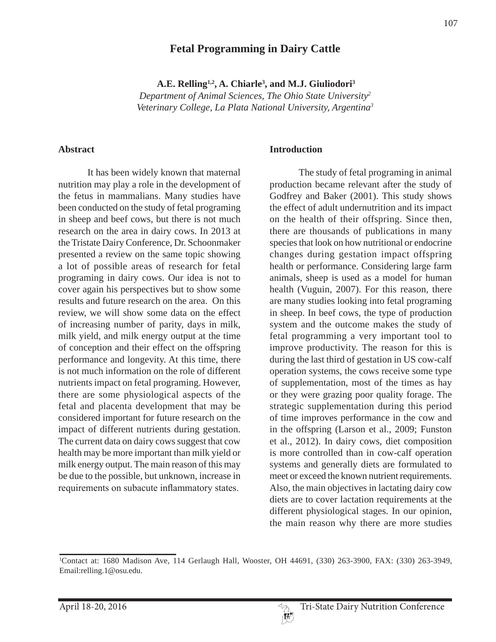# **Fetal Programming in Dairy Cattle**

A.E. Relling<sup>1,2</sup>, A. Chiarle<sup>3</sup>, and M.J. Giuliodori<sup>3</sup> *Department of Animal Sciences, The Ohio State University2 Veterinary College, La Plata National University, Argentina3*

#### **Abstract**

It has been widely known that maternal nutrition may play a role in the development of the fetus in mammalians. Many studies have been conducted on the study of fetal programing in sheep and beef cows, but there is not much research on the area in dairy cows. In 2013 at the Tristate Dairy Conference, Dr. Schoonmaker presented a review on the same topic showing a lot of possible areas of research for fetal programing in dairy cows. Our idea is not to cover again his perspectives but to show some results and future research on the area. On this review, we will show some data on the effect of increasing number of parity, days in milk, milk yield, and milk energy output at the time of conception and their effect on the offspring performance and longevity. At this time, there is not much information on the role of different nutrients impact on fetal programing. However, there are some physiological aspects of the fetal and placenta development that may be considered important for future research on the impact of different nutrients during gestation. The current data on dairy cows suggest that cow health may be more important than milk yield or milk energy output. The main reason of this may be due to the possible, but unknown, increase in requirements on subacute inflammatory states.

#### **Introduction**

The study of fetal programing in animal production became relevant after the study of Godfrey and Baker (2001). This study shows the effect of adult undernutrition and its impact on the health of their offspring. Since then, there are thousands of publications in many species that look on how nutritional or endocrine changes during gestation impact offspring health or performance. Considering large farm animals, sheep is used as a model for human health (Vuguin, 2007). For this reason, there are many studies looking into fetal programing in sheep. In beef cows, the type of production system and the outcome makes the study of fetal programming a very important tool to improve productivity. The reason for this is during the last third of gestation in US cow-calf operation systems, the cows receive some type of supplementation, most of the times as hay or they were grazing poor quality forage. The strategic supplementation during this period of time improves performance in the cow and in the offspring (Larson et al., 2009; Funston et al., 2012). In dairy cows, diet composition is more controlled than in cow-calf operation systems and generally diets are formulated to meet or exceed the known nutrient requirements. Also, the main objectives in lactating dairy cow diets are to cover lactation requirements at the different physiological stages. In our opinion, the main reason why there are more studies

<sup>1</sup> Contact at: 1680 Madison Ave, 114 Gerlaugh Hall, Wooster, OH 44691, (330) 263-3900, FAX: (330) 263-3949, Email:relling.1@osu.edu.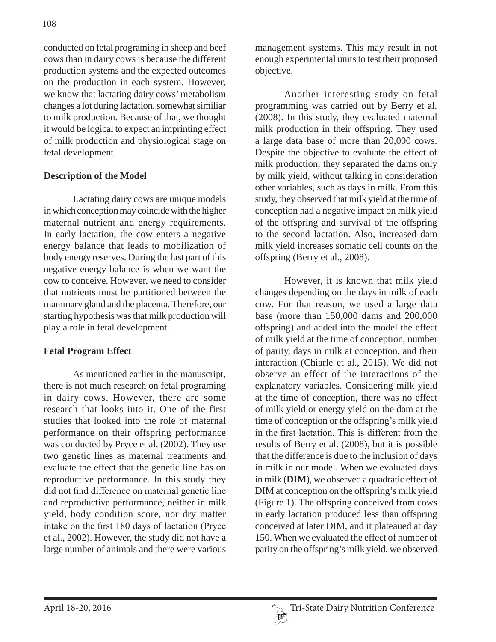conducted on fetal programing in sheep and beef cows than in dairy cows is because the different production systems and the expected outcomes on the production in each system. However, we know that lactating dairy cows' metabolism changes a lot during lactation, somewhat similiar to milk production. Because of that, we thought it would be logical to expect an imprinting effect of milk production and physiological stage on fetal development.

#### **Description of the Model**

Lactating dairy cows are unique models in which conception may coincide with the higher maternal nutrient and energy requirements. In early lactation, the cow enters a negative energy balance that leads to mobilization of body energy reserves. During the last part of this negative energy balance is when we want the cow to conceive. However, we need to consider that nutrients must be partitioned between the mammary gland and the placenta. Therefore, our starting hypothesis was that milk production will play a role in fetal development.

## **Fetal Program Effect**

As mentioned earlier in the manuscript, there is not much research on fetal programing in dairy cows. However, there are some research that looks into it. One of the first studies that looked into the role of maternal performance on their offspring performance was conducted by Pryce et al. (2002). They use two genetic lines as maternal treatments and evaluate the effect that the genetic line has on reproductive performance. In this study they did not find difference on maternal genetic line and reproductive performance, neither in milk yield, body condition score, nor dry matter intake on the first 180 days of lactation (Pryce et al., 2002). However, the study did not have a large number of animals and there were various

management systems. This may result in not enough experimental units to test their proposed objective.

Another interesting study on fetal programming was carried out by Berry et al. (2008). In this study, they evaluated maternal milk production in their offspring. They used a large data base of more than 20,000 cows. Despite the objective to evaluate the effect of milk production, they separated the dams only by milk yield, without talking in consideration other variables, such as days in milk. From this study, they observed that milk yield at the time of conception had a negative impact on milk yield of the offspring and survival of the offspring to the second lactation. Also, increased dam milk yield increases somatic cell counts on the offspring (Berry et al., 2008).

However, it is known that milk yield changes depending on the days in milk of each cow. For that reason, we used a large data base (more than 150,000 dams and 200,000 offspring) and added into the model the effect of milk yield at the time of conception, number of parity, days in milk at conception, and their interaction (Chiarle et al., 2015). We did not observe an effect of the interactions of the explanatory variables. Considering milk yield at the time of conception, there was no effect of milk yield or energy yield on the dam at the time of conception or the offspring's milk yield in the first lactation. This is different from the results of Berry et al. (2008), but it is possible that the difference is due to the inclusion of days in milk in our model. When we evaluated days in milk (**DIM**), we observed a quadratic effect of DIM at conception on the offspring's milk yield (Figure 1). The offspring conceived from cows in early lactation produced less than offspring conceived at later DIM, and it plateaued at day 150. When we evaluated the effect of number of parity on the offspring's milk yield, we observed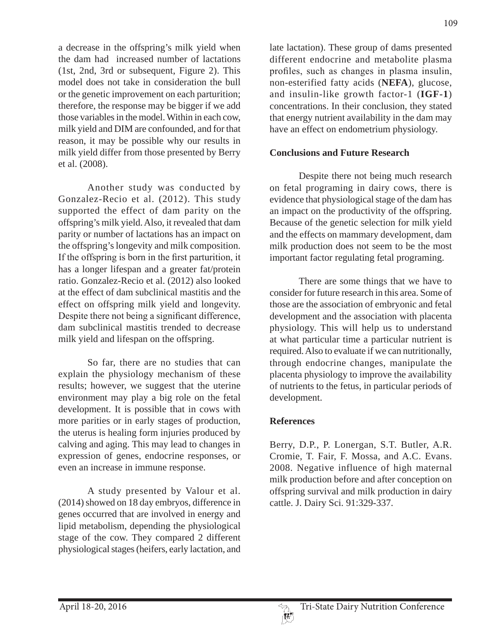a decrease in the offspring's milk yield when the dam had increased number of lactations (1st, 2nd, 3rd or subsequent, Figure 2). This model does not take in consideration the bull or the genetic improvement on each parturition; therefore, the response may be bigger if we add those variables in the model. Within in each cow, milk yield and DIM are confounded, and for that reason, it may be possible why our results in milk yield differ from those presented by Berry et al. (2008).

Another study was conducted by Gonzalez-Recio et al. (2012). This study supported the effect of dam parity on the offspring's milk yield. Also, it revealed that dam parity or number of lactations has an impact on the offspring's longevity and milk composition. If the offspring is born in the first parturition, it has a longer lifespan and a greater fat/protein ratio. Gonzalez-Recio et al. (2012) also looked at the effect of dam subclinical mastitis and the effect on offspring milk yield and longevity. Despite there not being a significant difference, dam subclinical mastitis trended to decrease milk yield and lifespan on the offspring.

So far, there are no studies that can explain the physiology mechanism of these results; however, we suggest that the uterine environment may play a big role on the fetal development. It is possible that in cows with more parities or in early stages of production, the uterus is healing form injuries produced by calving and aging. This may lead to changes in expression of genes, endocrine responses, or even an increase in immune response.

A study presented by Valour et al. (2014) showed on 18 day embryos, difference in genes occurred that are involved in energy and lipid metabolism, depending the physiological stage of the cow. They compared 2 different physiological stages (heifers, early lactation, and late lactation). These group of dams presented different endocrine and metabolite plasma profiles, such as changes in plasma insulin, non-esterified fatty acids (**NEFA**), glucose, and insulin-like growth factor-1 (**IGF-1**) concentrations. In their conclusion, they stated that energy nutrient availability in the dam may have an effect on endometrium physiology.

#### **Conclusions and Future Research**

Despite there not being much research on fetal programing in dairy cows, there is evidence that physiological stage of the dam has an impact on the productivity of the offspring. Because of the genetic selection for milk yield and the effects on mammary development, dam milk production does not seem to be the most important factor regulating fetal programing.

There are some things that we have to consider for future research in this area. Some of those are the association of embryonic and fetal development and the association with placenta physiology. This will help us to understand at what particular time a particular nutrient is required. Also to evaluate if we can nutritionally, through endocrine changes, manipulate the placenta physiology to improve the availability of nutrients to the fetus, in particular periods of development.

## **References**

Berry, D.P., P. Lonergan, S.T. Butler, A.R. Cromie, T. Fair, F. Mossa, and A.C. Evans. 2008. Negative influence of high maternal milk production before and after conception on offspring survival and milk production in dairy cattle. J. Dairy Sci. 91:329-337.

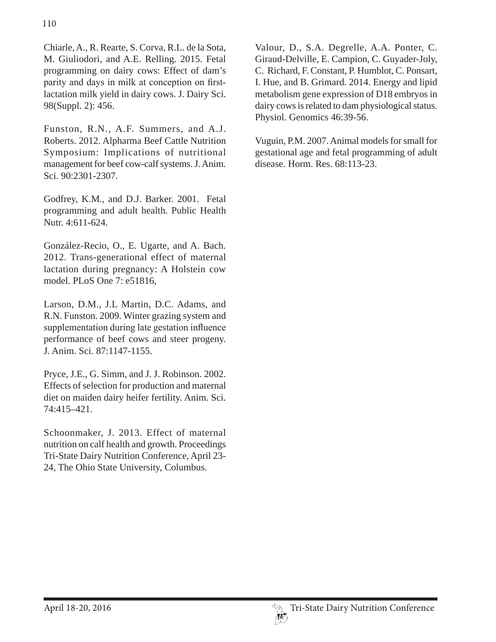Chiarle, A., R. Rearte, S. Corva, R.L. de la Sota, M. Giuliodori, and A.E. Relling. 2015. Fetal programming on dairy cows: Effect of dam's parity and days in milk at conception on firstlactation milk yield in dairy cows. J. Dairy Sci. 98(Suppl. 2): 456.

Funston, R.N., A.F. Summers, and A.J. Roberts. 2012. Alpharma Beef Cattle Nutrition Symposium: Implications of nutritional management for beef cow-calf systems. J. Anim. Sci. 90:2301-2307.

Godfrey, K.M., and D.J. Barker. 2001. Fetal programming and adult health. Public Health Nutr. 4:611-624.

González-Recio, O., E. Ugarte, and A. Bach. 2012. Trans-generational effect of maternal lactation during pregnancy: A Holstein cow model. PLoS One 7: e51816,

Larson, D.M., J.L Martin, D.C. Adams, and R.N. Funston. 2009. Winter grazing system and supplementation during late gestation influence performance of beef cows and steer progeny. J. Anim. Sci. 87:1147-1155.

Pryce, J.E., G. Simm, and J. J. Robinson. 2002. Effects of selection for production and maternal diet on maiden dairy heifer fertility. Anim. Sci. 74:415–421.

Schoonmaker, J. 2013. Effect of maternal nutrition on calf health and growth. Proceedings Tri-State Dairy Nutrition Conference, April 23- 24, The Ohio State University, Columbus.

Valour, D., S.A. Degrelle, A.A. Ponter, C. Giraud-Delville, E. Campion, C. Guyader-Joly, C. Richard, F. Constant, P. Humblot, C. Ponsart, I. Hue, and B. Grimard. 2014. Energy and lipid metabolism gene expression of D18 embryos in dairy cows is related to dam physiological status. Physiol. Genomics 46:39-56.

Vuguin, P.M. 2007. Animal models for small for gestational age and fetal programming of adult disease. Horm. Res. 68:113-23.